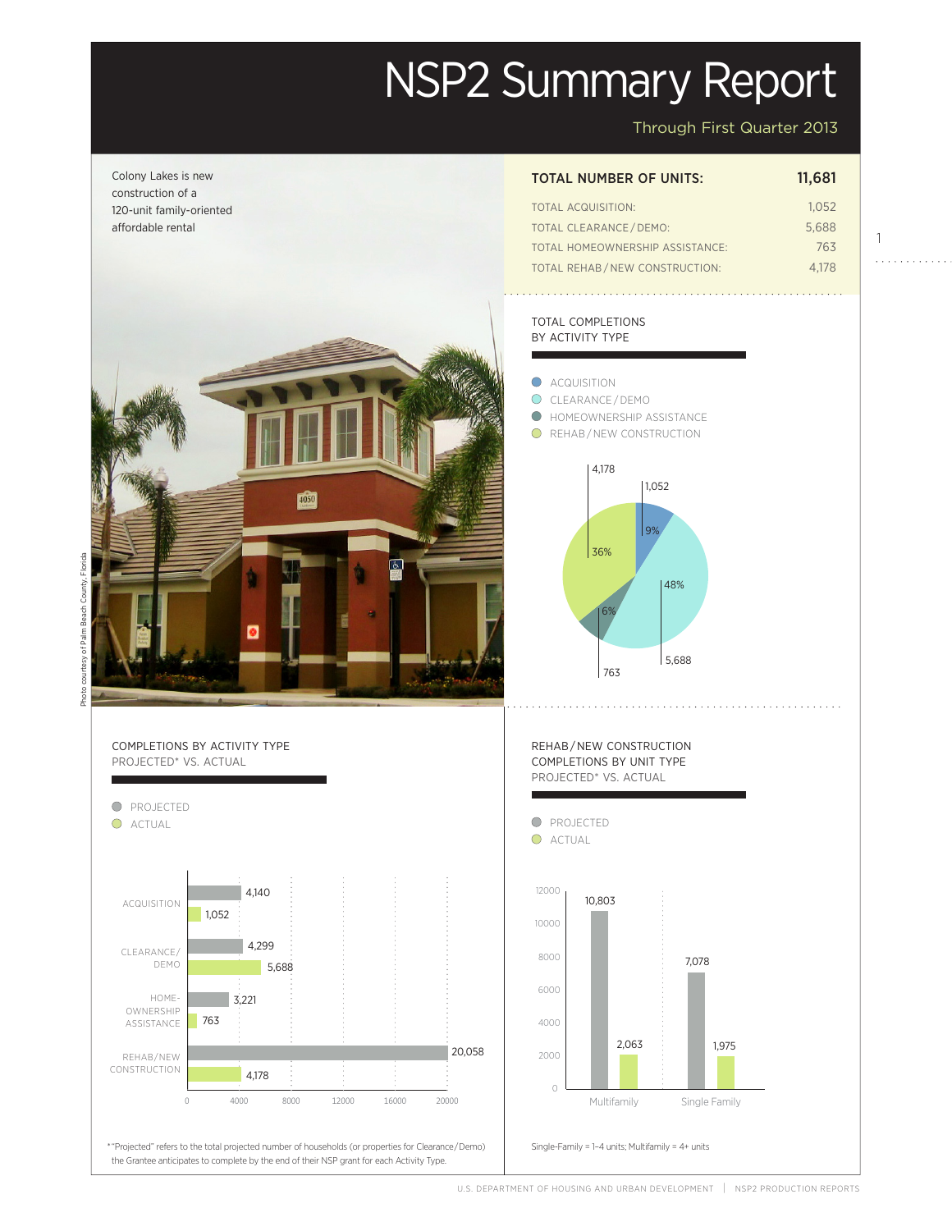# NSP2 Summary Report

Through First Quarter 2013



U.S. Department of Housing and Urban Development | NSP2 Production Reports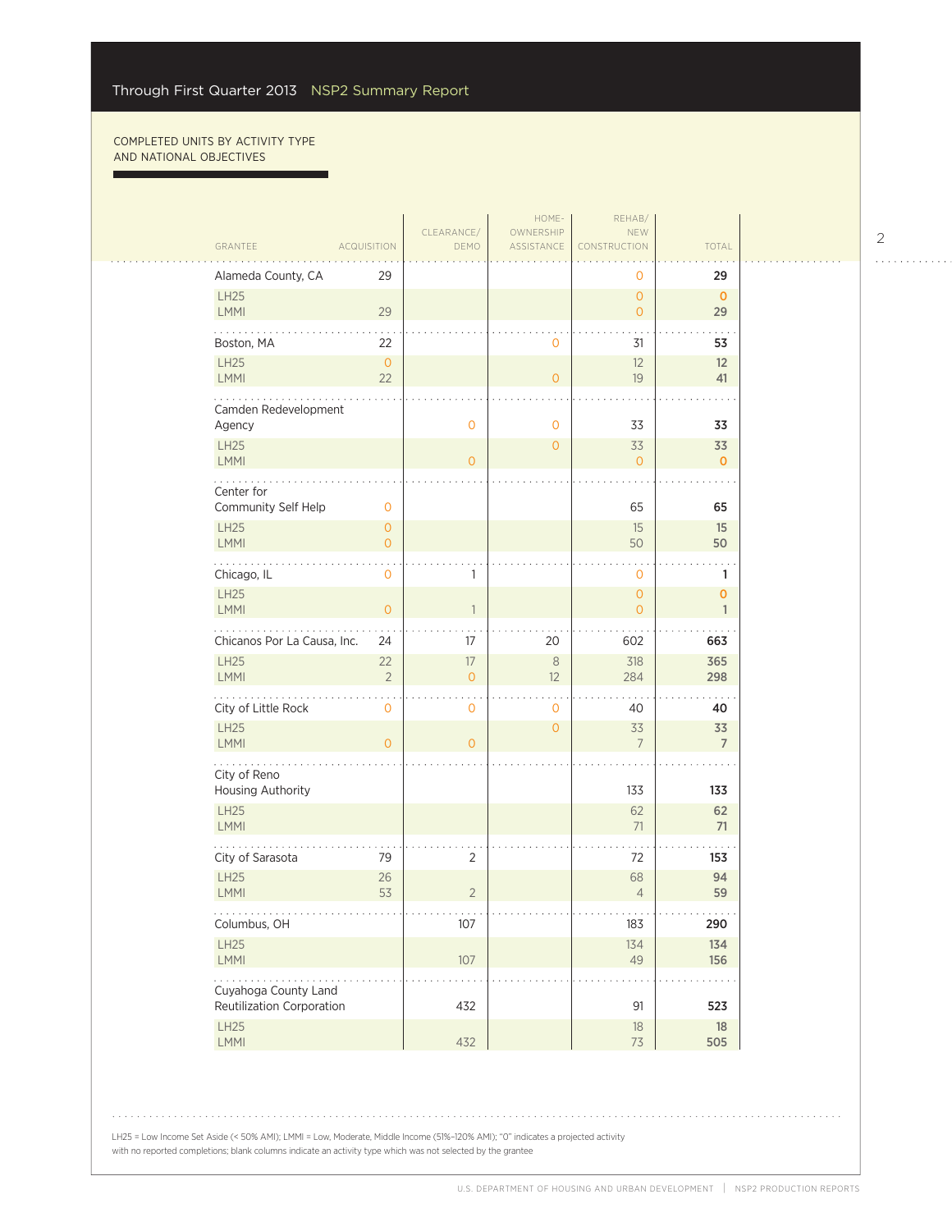г

|                                     |                                |                                          | HOME-                   | REHAB/                                |                             |  |
|-------------------------------------|--------------------------------|------------------------------------------|-------------------------|---------------------------------------|-----------------------------|--|
| GRANTEE                             | <b>ACQUISITION</b>             | CLEARANCE/<br>DEMO                       | OWNERSHIP<br>ASSISTANCE | <b>NEW</b><br>CONSTRUCTION            | TOTAL                       |  |
| Alameda County, CA                  | 29                             |                                          |                         |                                       | 29                          |  |
| LH25                                |                                |                                          |                         | 0<br>$\overline{O}$                   | $\mathbf{0}$                |  |
| LMMI                                | 29                             |                                          |                         | $\mathbf{O}$                          | 29                          |  |
| Boston, MA                          | 22                             |                                          | $\circ$                 | 31                                    | 53                          |  |
| <b>LH25</b>                         | $\circ$                        |                                          |                         | 12                                    | 12                          |  |
| <b>LMMI</b>                         | 22                             |                                          | $\overline{O}$          | 19                                    | 41                          |  |
| Camden Redevelopment                |                                |                                          |                         |                                       |                             |  |
| Agency                              |                                | $\mathbf 0$                              | $\mathbf 0$             | 33                                    | 33                          |  |
| <b>LH25</b>                         |                                |                                          | $\overline{O}$          | 33                                    | 33                          |  |
| LMMI                                |                                | $\Omega$                                 |                         | $\mathbf{0}$                          | $\mathbf{0}$                |  |
| Center for                          |                                |                                          |                         |                                       |                             |  |
| Community Self Help                 | $\mathbf 0$                    |                                          |                         | 65                                    | 65                          |  |
| <b>LH25</b><br><b>LMMI</b>          | $\mathsf{O}\xspace$<br>$\circ$ |                                          |                         | 15<br>50                              | 15<br>50                    |  |
| .                                   |                                |                                          |                         |                                       |                             |  |
| Chicago, IL                         | $\mathsf{O}\xspace$            | 1                                        |                         | $\mathbf 0$                           | 1                           |  |
| <b>LH25</b><br><b>LMMI</b>          | $\mathsf{O}\xspace$            | $\mathbf{1}$                             |                         | $\overline{O}$<br>$\overline{O}$      | $\mathbf 0$<br>$\mathbf{1}$ |  |
|                                     |                                |                                          |                         |                                       |                             |  |
| Chicanos Por La Causa, Inc.<br>LH25 | 24                             | 17                                       | 20                      | 602                                   | 663                         |  |
| <b>LMMI</b>                         | 22<br>$\overline{2}$           | $17\,$<br>$\overline{0}$                 | $\,8\,$<br>12           | 318<br>284                            | 365<br>298                  |  |
|                                     |                                |                                          |                         |                                       |                             |  |
| City of Little Rock<br><b>LH25</b>  | $\mathsf{O}\xspace$            | $\mathbf 0$                              | 0                       | 40                                    | 40                          |  |
| <b>LMMI</b>                         | $\overline{O}$                 | $\overline{0}$                           | $\mathbf{O}$            | 33<br>$\overline{7}$                  | 33<br>$\overline{7}$        |  |
| .                                   |                                |                                          |                         |                                       |                             |  |
| City of Reno<br>Housing Authority   |                                |                                          |                         | 133                                   | 133                         |  |
| LH25                                |                                |                                          |                         | 62                                    | 62                          |  |
| <b>LMMI</b>                         |                                |                                          |                         | 71                                    | 71                          |  |
| City of Sarasota                    | 79                             | 2                                        |                         | 72                                    | 153                         |  |
| <b>LH25</b>                         | 26                             |                                          |                         | 68                                    | 94                          |  |
| <b>LMMI</b>                         | 53                             | $\overline{2}$                           |                         | $\overline{4}$                        | 59                          |  |
| .<br>Columbus, OH                   |                                | $\alpha \rightarrow \alpha \beta$<br>107 |                         | $\alpha$ , $\alpha$ , $\alpha$<br>183 | .<br>290                    |  |
| LH25                                |                                |                                          |                         | 134                                   | 134                         |  |
| LMMI                                |                                | $107$                                    |                         | 49                                    | 156                         |  |
| .<br>Cuyahoga County Land           |                                |                                          |                         |                                       |                             |  |
| Reutilization Corporation           |                                | 432                                      |                         | 91                                    | 523                         |  |
| LH25<br>LMMI                        |                                |                                          |                         | $18\,$<br>73                          | 18                          |  |
|                                     |                                | 432                                      |                         |                                       | 505                         |  |

2

. . . . . . . . . . . .

LH25 = Low Income Set Aside (< 50% AMI); LMMI = Low, Moderate, Middle Income (51%-120% AMI); "0" indicates a projected activity with no reported completions; blank columns indicate an activity type which was not selected by the grantee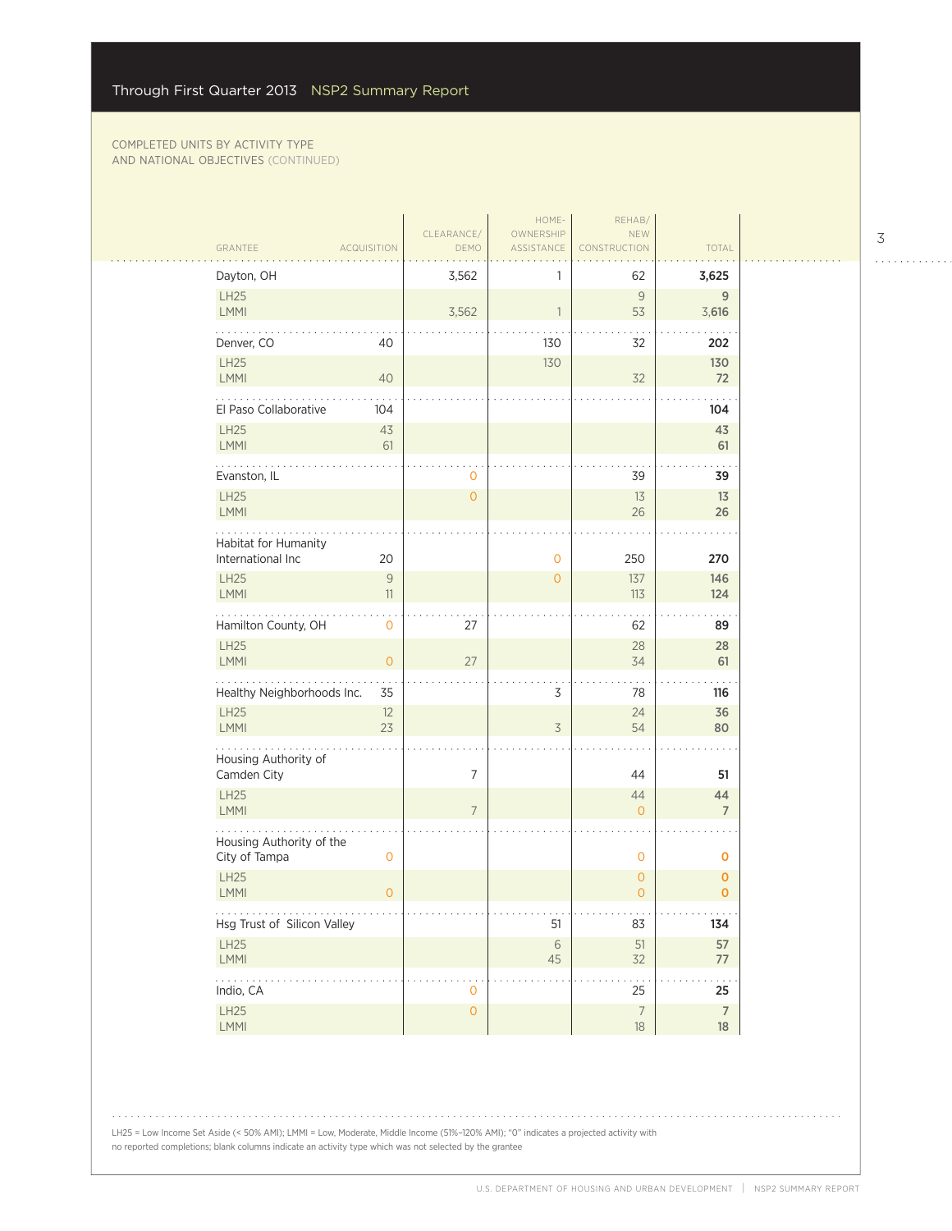| DEMO<br>TOTAL<br>GRANTEE<br><b>ACQUISITION</b><br>ASSISTANCE<br><b>STRUCTION</b><br>Dayton, OH<br>3,562<br>62<br>3,625<br>1<br>LH25<br>9<br>9<br>LMMI<br>3,562<br>$\mathbf{1}$<br>53<br>3,616<br>Denver, CO<br>40<br>130<br>32<br>202<br>LH25<br>130<br>130<br>LMMI<br>40<br>32<br>72<br>El Paso Collaborative<br>104<br>104<br><b>LH25</b><br>43<br>43<br>LMMI<br>61<br>61<br>39<br>Evanston, IL<br>39<br>0<br>LH25<br>$\overline{0}$<br>13<br>13<br>LMMI<br>26<br>26<br>Habitat for Humanity<br>International Inc<br>20<br>250<br>$\mathbf 0$<br>270<br>$\mathcal{G}$<br><b>LH25</b><br>$\mathbf{O}$<br>137<br>146<br>LMMI<br>11<br>113<br>124<br>Hamilton County, OH<br>$\mathsf{O}\xspace$<br>27<br>62<br>89<br>LH25<br>28<br>28<br>LMMI<br>$\mathsf{O}\xspace$<br>27<br>34<br>61<br>Healthy Neighborhoods Inc.<br>3<br>35<br>78<br>116<br><b>LH25</b><br>12<br>36<br>24<br>23<br>LMMI<br>$\overline{3}$<br>54<br>80<br>Housing Authority of<br>$\overline{7}$<br>Camden City<br>44<br>51<br>LH25<br>44<br>44<br>LMMI<br>$7\overline{ }$<br>$\mathbf{O}$<br>$\overline{7}$<br>Housing Authority of the<br>City of Tampa<br>0<br>$\mathbf 0$<br>O<br><b>LH25</b><br>$\mathbf{O}$<br>$\mathbf 0$<br>LMMI<br>$\circ$<br>$\mathbf{O}$<br>$\mathbf{O}$<br>Hsg Trust of Silicon Valley<br>83<br>51<br>134<br>LH25<br>57<br>51<br>$\sqrt{6}$<br>LMMI<br>$45\,$<br>32<br>77<br>.<br>25<br>Indio, CA<br>25<br>0<br>$\mathsf O$<br>$\overline{7}$<br>LH25<br>$\overline{7}$ |  |      | CLEARANCE/ | HOME-<br>OWNERSHIP | REHAB/<br>NEW |    |  |
|-----------------------------------------------------------------------------------------------------------------------------------------------------------------------------------------------------------------------------------------------------------------------------------------------------------------------------------------------------------------------------------------------------------------------------------------------------------------------------------------------------------------------------------------------------------------------------------------------------------------------------------------------------------------------------------------------------------------------------------------------------------------------------------------------------------------------------------------------------------------------------------------------------------------------------------------------------------------------------------------------------------------------------------------------------------------------------------------------------------------------------------------------------------------------------------------------------------------------------------------------------------------------------------------------------------------------------------------------------------------------------------------------------------------------------------------------------------------------|--|------|------------|--------------------|---------------|----|--|
|                                                                                                                                                                                                                                                                                                                                                                                                                                                                                                                                                                                                                                                                                                                                                                                                                                                                                                                                                                                                                                                                                                                                                                                                                                                                                                                                                                                                                                                                       |  |      |            |                    |               |    |  |
|                                                                                                                                                                                                                                                                                                                                                                                                                                                                                                                                                                                                                                                                                                                                                                                                                                                                                                                                                                                                                                                                                                                                                                                                                                                                                                                                                                                                                                                                       |  |      |            |                    |               |    |  |
|                                                                                                                                                                                                                                                                                                                                                                                                                                                                                                                                                                                                                                                                                                                                                                                                                                                                                                                                                                                                                                                                                                                                                                                                                                                                                                                                                                                                                                                                       |  |      |            |                    |               |    |  |
|                                                                                                                                                                                                                                                                                                                                                                                                                                                                                                                                                                                                                                                                                                                                                                                                                                                                                                                                                                                                                                                                                                                                                                                                                                                                                                                                                                                                                                                                       |  |      |            |                    |               |    |  |
|                                                                                                                                                                                                                                                                                                                                                                                                                                                                                                                                                                                                                                                                                                                                                                                                                                                                                                                                                                                                                                                                                                                                                                                                                                                                                                                                                                                                                                                                       |  |      |            |                    |               |    |  |
|                                                                                                                                                                                                                                                                                                                                                                                                                                                                                                                                                                                                                                                                                                                                                                                                                                                                                                                                                                                                                                                                                                                                                                                                                                                                                                                                                                                                                                                                       |  |      |            |                    |               |    |  |
|                                                                                                                                                                                                                                                                                                                                                                                                                                                                                                                                                                                                                                                                                                                                                                                                                                                                                                                                                                                                                                                                                                                                                                                                                                                                                                                                                                                                                                                                       |  |      |            |                    |               |    |  |
|                                                                                                                                                                                                                                                                                                                                                                                                                                                                                                                                                                                                                                                                                                                                                                                                                                                                                                                                                                                                                                                                                                                                                                                                                                                                                                                                                                                                                                                                       |  |      |            |                    |               |    |  |
|                                                                                                                                                                                                                                                                                                                                                                                                                                                                                                                                                                                                                                                                                                                                                                                                                                                                                                                                                                                                                                                                                                                                                                                                                                                                                                                                                                                                                                                                       |  |      |            |                    |               |    |  |
|                                                                                                                                                                                                                                                                                                                                                                                                                                                                                                                                                                                                                                                                                                                                                                                                                                                                                                                                                                                                                                                                                                                                                                                                                                                                                                                                                                                                                                                                       |  |      |            |                    |               |    |  |
|                                                                                                                                                                                                                                                                                                                                                                                                                                                                                                                                                                                                                                                                                                                                                                                                                                                                                                                                                                                                                                                                                                                                                                                                                                                                                                                                                                                                                                                                       |  |      |            |                    |               |    |  |
|                                                                                                                                                                                                                                                                                                                                                                                                                                                                                                                                                                                                                                                                                                                                                                                                                                                                                                                                                                                                                                                                                                                                                                                                                                                                                                                                                                                                                                                                       |  |      |            |                    |               |    |  |
|                                                                                                                                                                                                                                                                                                                                                                                                                                                                                                                                                                                                                                                                                                                                                                                                                                                                                                                                                                                                                                                                                                                                                                                                                                                                                                                                                                                                                                                                       |  |      |            |                    |               |    |  |
|                                                                                                                                                                                                                                                                                                                                                                                                                                                                                                                                                                                                                                                                                                                                                                                                                                                                                                                                                                                                                                                                                                                                                                                                                                                                                                                                                                                                                                                                       |  |      |            |                    |               |    |  |
|                                                                                                                                                                                                                                                                                                                                                                                                                                                                                                                                                                                                                                                                                                                                                                                                                                                                                                                                                                                                                                                                                                                                                                                                                                                                                                                                                                                                                                                                       |  |      |            |                    |               |    |  |
|                                                                                                                                                                                                                                                                                                                                                                                                                                                                                                                                                                                                                                                                                                                                                                                                                                                                                                                                                                                                                                                                                                                                                                                                                                                                                                                                                                                                                                                                       |  |      |            |                    |               |    |  |
|                                                                                                                                                                                                                                                                                                                                                                                                                                                                                                                                                                                                                                                                                                                                                                                                                                                                                                                                                                                                                                                                                                                                                                                                                                                                                                                                                                                                                                                                       |  |      |            |                    |               |    |  |
|                                                                                                                                                                                                                                                                                                                                                                                                                                                                                                                                                                                                                                                                                                                                                                                                                                                                                                                                                                                                                                                                                                                                                                                                                                                                                                                                                                                                                                                                       |  |      |            |                    |               |    |  |
|                                                                                                                                                                                                                                                                                                                                                                                                                                                                                                                                                                                                                                                                                                                                                                                                                                                                                                                                                                                                                                                                                                                                                                                                                                                                                                                                                                                                                                                                       |  |      |            |                    |               |    |  |
|                                                                                                                                                                                                                                                                                                                                                                                                                                                                                                                                                                                                                                                                                                                                                                                                                                                                                                                                                                                                                                                                                                                                                                                                                                                                                                                                                                                                                                                                       |  |      |            |                    |               |    |  |
|                                                                                                                                                                                                                                                                                                                                                                                                                                                                                                                                                                                                                                                                                                                                                                                                                                                                                                                                                                                                                                                                                                                                                                                                                                                                                                                                                                                                                                                                       |  |      |            |                    |               |    |  |
|                                                                                                                                                                                                                                                                                                                                                                                                                                                                                                                                                                                                                                                                                                                                                                                                                                                                                                                                                                                                                                                                                                                                                                                                                                                                                                                                                                                                                                                                       |  |      |            |                    |               |    |  |
|                                                                                                                                                                                                                                                                                                                                                                                                                                                                                                                                                                                                                                                                                                                                                                                                                                                                                                                                                                                                                                                                                                                                                                                                                                                                                                                                                                                                                                                                       |  |      |            |                    |               |    |  |
|                                                                                                                                                                                                                                                                                                                                                                                                                                                                                                                                                                                                                                                                                                                                                                                                                                                                                                                                                                                                                                                                                                                                                                                                                                                                                                                                                                                                                                                                       |  |      |            |                    |               |    |  |
|                                                                                                                                                                                                                                                                                                                                                                                                                                                                                                                                                                                                                                                                                                                                                                                                                                                                                                                                                                                                                                                                                                                                                                                                                                                                                                                                                                                                                                                                       |  | LMMI |            |                    | $18\,$        | 18 |  |

LH25 = Low Income Set Aside (< 50% AMI); LMMI = Low, Moderate, Middle Income (51%-120% AMI); "0" indicates a projected activity with no reported completions; blank columns indicate an activity type which was not selected by the grantee

3

. . . . . . . . . . . .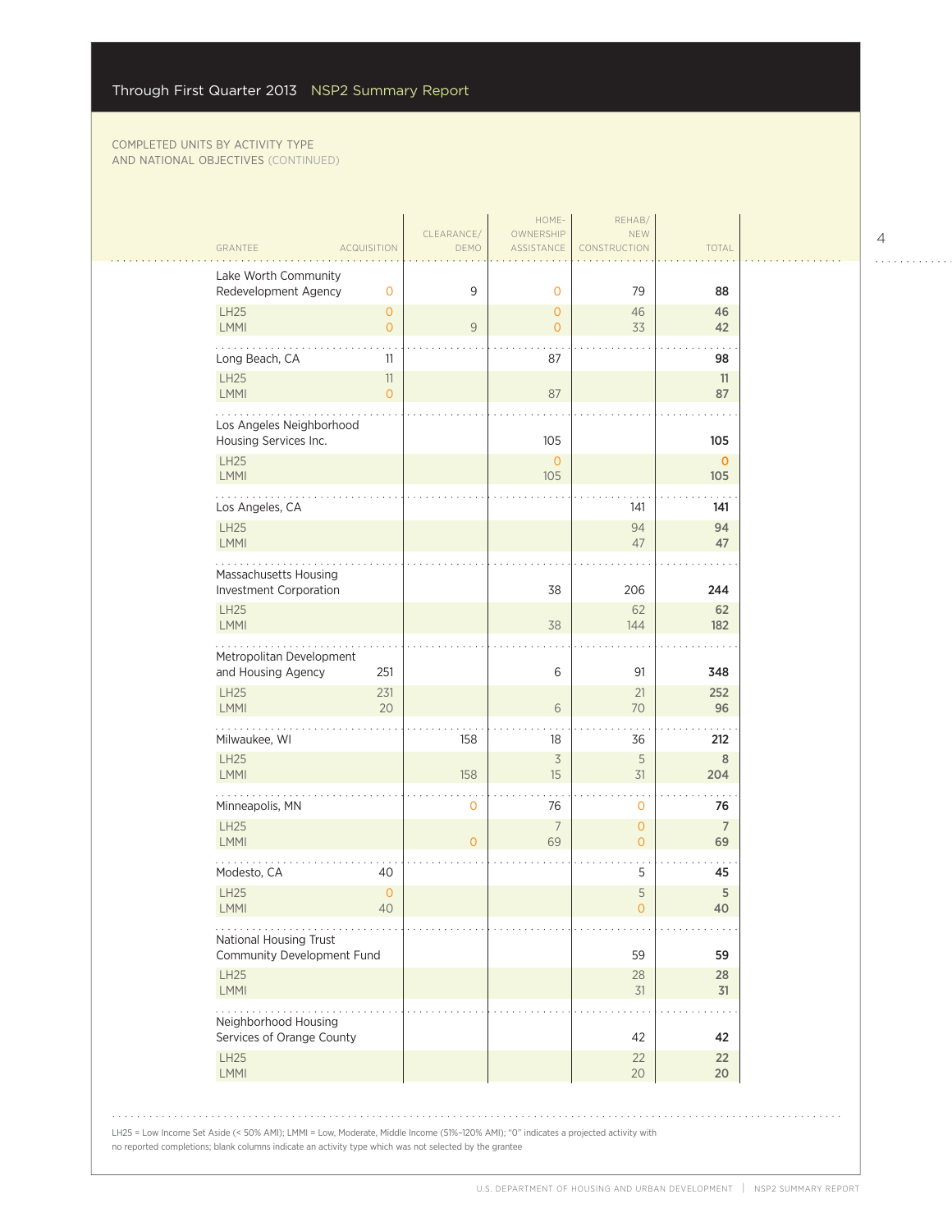| GRANTEE                                           |                            | <b>ACQUISITION</b>   | CLEARANCE/<br><b>DEMO</b> | HOME-<br>OWNERSHIP<br>ASSISTANCE | REHAB/<br><b>NEW</b><br><b>CONSTRUCTION</b> | <b>TOTAL</b>         |
|---------------------------------------------------|----------------------------|----------------------|---------------------------|----------------------------------|---------------------------------------------|----------------------|
| Lake Worth Community<br>Redevelopment Agency      |                            | $\mathbf{O}$         | 9                         | $\mathbf 0$                      | 79                                          | 88                   |
| <b>LH25</b>                                       |                            | $\overline{O}$       |                           | $\overline{0}$                   | 46                                          | 46                   |
| LMMI                                              |                            | $\mathbf{O}$         | $\mathsf{9}$              | 0                                | 33                                          | 42                   |
| Long Beach, CA<br><b>LH25</b>                     |                            | 11<br>11             |                           | 87                               |                                             | 98                   |
| LMMI                                              |                            | $\overline{O}$       |                           | 87                               |                                             | 11<br>87             |
| Los Angeles Neighborhood<br>Housing Services Inc. |                            |                      |                           | 105                              |                                             | 105                  |
| <b>LH25</b><br>LMMI                               |                            |                      |                           | $\overline{0}$<br>105            |                                             | $\mathbf 0$<br>105   |
| Los Angeles, CA                                   |                            |                      |                           |                                  | 141                                         | 141                  |
| <b>LH25</b><br><b>LMMI</b>                        |                            |                      |                           |                                  | 94<br>47                                    | 94<br>47             |
| Massachusetts Housing                             |                            |                      |                           |                                  |                                             |                      |
| Investment Corporation                            |                            |                      |                           | 38                               | 206                                         | 244                  |
| <b>LH25</b><br>LMMI                               |                            |                      |                           | 38                               | 62<br>144                                   | 62<br>182            |
| Metropolitan Development<br>and Housing Agency    |                            | 251                  |                           | 6                                | 91                                          | 348                  |
| <b>LH25</b><br><b>LMMI</b>                        |                            | 231<br>20            |                           | 6                                | 21<br>70                                    | 252<br>96            |
| Milwaukee, WI                                     |                            |                      | 158                       | 18                               | 36                                          | 212                  |
| <b>LH25</b><br>LMMI                               |                            |                      | 158                       | $\overline{3}$<br>15             | 5<br>31                                     | 8<br>204             |
| Minneapolis, MN                                   |                            |                      | $\mathbf 0$               | 76                               | $\mathbf 0$                                 | 76                   |
| LH25<br>LMMI                                      |                            |                      | $\overline{0}$            | $\overline{7}$<br>69             | $\overline{0}$<br>0                         | $\overline{7}$<br>69 |
| Modesto, CA                                       |                            | 40                   |                           |                                  | 5                                           | 45                   |
| <b>LH25</b><br><b>LMMI</b>                        |                            | $\overline{0}$<br>40 |                           |                                  | 5<br>0                                      | $\mathsf S$<br>40    |
| .<br>National Housing Trust                       | Community Development Fund |                      |                           |                                  | 59                                          | 59                   |
| LH25<br>LMMI                                      |                            |                      |                           |                                  | 28<br>31                                    | 28<br>31             |
| Neighborhood Housing                              |                            |                      |                           |                                  |                                             |                      |
| Services of Orange County<br><b>LH25</b>          |                            |                      |                           |                                  | 42<br>22                                    | 42<br>22             |
| LMMI                                              |                            |                      |                           |                                  | 20                                          | $20\,$               |

LH25 = Low Income Set Aside (< 50% AMI); LMMI = Low, Moderate, Middle Income (51%-120% AMI); "0" indicates a projected activity with no reported completions; blank columns indicate an activity type which was not selected by the grantee

 $1.1.1.1.1.1.1.1.1.1.1$ 

 $\mathcal{L}_{\mathcal{A}}$  ,  $\mathcal{L}_{\mathcal{A}}$ 

 $\bar{\psi}$  ,  $\bar{\psi}$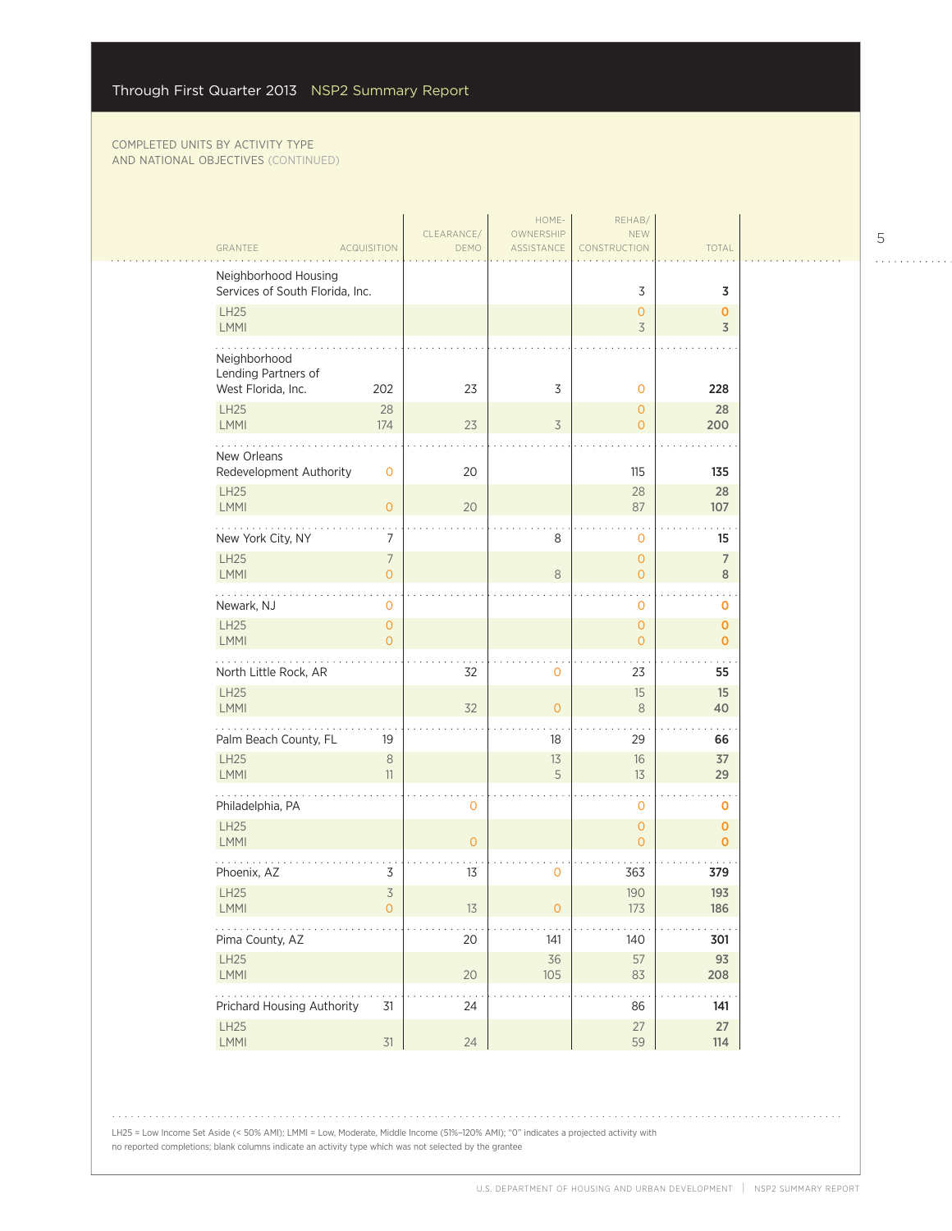| GRANTEE                                                   | <b>ACQUISITION</b>         | CLEARANCE/<br>DEMO | HOME-<br>OWNERSHIP<br>ASSISTANCE | REHAB/<br>NEW<br>CONSTRUCTION    | <b>TOTAL</b>                |  |
|-----------------------------------------------------------|----------------------------|--------------------|----------------------------------|----------------------------------|-----------------------------|--|
| Neighborhood Housing<br>Services of South Florida, Inc.   |                            |                    |                                  | 3                                | 3                           |  |
| <b>LH25</b><br><b>LMMI</b>                                |                            |                    |                                  | $\mathbf{O}$<br>3                | 0<br>3                      |  |
| Neighborhood<br>Lending Partners of<br>West Florida, Inc. | 202                        | 23                 | 3                                | $\mathbf{O}$                     | 228                         |  |
| LH25<br><b>LMMI</b>                                       | 28<br>174                  | 23                 | $\overline{\mathcal{S}}$         | $\overline{0}$<br>$\overline{0}$ | 28<br>200                   |  |
| New Orleans<br>Redevelopment Authority                    | $\mathbf 0$                | 20                 |                                  | 115                              | 135                         |  |
| <b>LH25</b><br><b>LMMI</b>                                | $\overline{0}$             | 20                 |                                  | 28<br>87                         | 28<br>107                   |  |
| New York City, NY                                         | 7                          |                    | 8                                | 0                                | 15                          |  |
| LH25<br><b>LMMI</b>                                       | 7<br>$\overline{O}$        |                    | 8                                | $\overline{O}$<br>$\overline{0}$ | $\overline{7}$<br>8         |  |
| Newark, NJ                                                | $\circ$                    |                    |                                  | $\mathbf{O}$                     | $\mathbf 0$                 |  |
| <b>LH25</b><br>LMMI                                       | $\overline{0}$<br>$\Omega$ |                    |                                  | $\overline{0}$<br>$\overline{0}$ | $\mathbf 0$<br>$\mathbf 0$  |  |
| North Little Rock, AR                                     |                            | 32                 | $\circ$                          | 23                               | 55                          |  |
| <b>LH25</b><br>LMMI                                       |                            | 32                 | $\overline{O}$                   | 15<br>8                          | 15<br>40                    |  |
| Palm Beach County, FL                                     | 19                         |                    | 18                               | 29                               | 66                          |  |
| <b>LH25</b><br><b>LMMI</b>                                | $\,8\,$<br>11              |                    | 13<br>5                          | 16<br>13                         | 37<br>29                    |  |
| Philadelphia, PA                                          |                            | $\mathbf 0$        |                                  | $\mathbf 0$                      | O                           |  |
| LH25<br>LMMI                                              |                            | $\overline{0}$     |                                  | $\mathbf{O}$<br>$\overline{O}$   | $\mathbf 0$<br>$\mathbf{O}$ |  |
| Phoenix, AZ                                               | 3                          | 13                 | 0                                | 363                              | 379                         |  |
| <b>LH25</b><br>LMMI                                       | 3<br>∩                     | $13$               |                                  | 190<br>173                       | 193<br>186                  |  |
| .<br>Pima County, AZ                                      |                            | 20                 | 141                              | 140                              | 301                         |  |
| LH25<br>LMMI                                              |                            | $20\,$             | $36\,$<br>$105$                  | 57<br>83                         | 93<br>208                   |  |
| .<br>Prichard Housing Authority                           | 31                         | 24                 |                                  | 86                               | 141                         |  |
| <b>LH25</b><br>LMMI                                       | 31                         | 24                 |                                  | $27\,$<br>59                     | 27<br>114                   |  |
|                                                           |                            |                    |                                  |                                  |                             |  |

LH25 = Low Income Set Aside (< 50% AMI); LMMI = Low, Moderate, Middle Income (51%-120% AMI); "0" indicates a projected activity with no reported completions; blank columns indicate an activity type which was not selected by the grantee

5

 $\begin{array}{cccccccccccccc} . & . & . & . & . & . & . & . & . & . & . & . & . \end{array}$ 

 $\mathbb{R}$